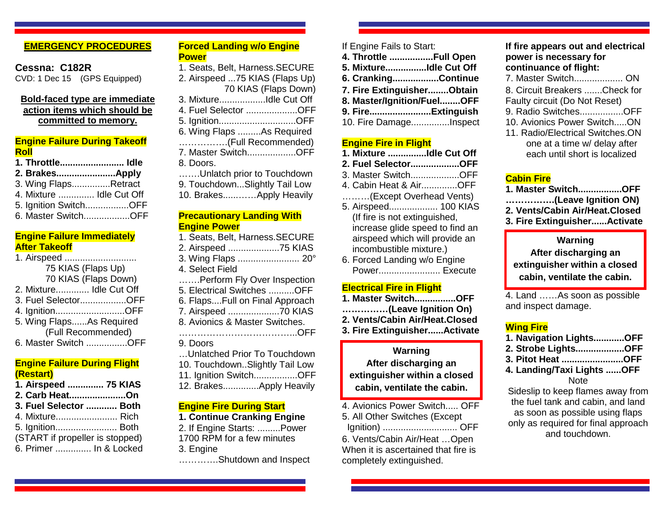### **EMERGENCY PROCEDURES**

### **Cessna: C182R** CVD: 1 Dec 15 (GPS Equipped)

### **Bold-faced type are immediate action items which should be committed to memory.**

### **Engine Failure During Takeoff Roll**

| 1. Throttle Idle         |                     |
|--------------------------|---------------------|
|                          |                     |
| 3. Wing FlapsRetract     |                     |
| 4. Mixture  Idle Cut Off |                     |
| 5. Ignition SwitchOFF    |                     |
|                          | 6. Master SwitchOFF |

### **Engine Failure Immediately After Takeoff**

| 1. Airspeed              |
|--------------------------|
| 75 KIAS (Flaps Up)       |
| 70 KIAS (Flaps Down)     |
| 2. Mixture Idle Cut Off  |
| 3. Fuel SelectorOFF      |
| 4. IgnitionOFF           |
| 5. Wing FlapsAs Required |
| (Full Recommended)       |
| 6. Master Switch OFF     |

### **Engine Failure During Flight (Restart)**

- **1. Airspeed .............. 75 KIAS**
- **2. Carb Heat......................On**
- **3. Fuel Selector ............ Both**
- 4. Mixture........................ Rich
- 5. Ignition........................ Both
- (START if propeller is stopped)
- 6. Primer .............. In & Locked

| 70 KIAS (Flaps Down)              |
|-----------------------------------|
| 3. MixtureIdle Cut Off            |
| 4. Fuel Selector OFF              |
| 5. IgnitionOFF                    |
| 6. Wing Flaps As Required         |
| (Full Recommended)                |
| 7. Master SwitchOFF               |
| 8. Doors.                         |
| Unlatch prior to Touchdown        |
| 9. TouchdownSlightly Tail Low     |
| 10. BrakesApply Heavily           |
|                                   |
| <b>Precautionary Landing With</b> |
| <b>Engine Power</b>               |
| 1. Seats, Belt, Harness.SECURE    |
| 2. Airspeed 75 KIAS               |
|                                   |

**Forced Landing w/o Engine**

1. Seats, Belt, Harness.SECURE 2. Airspeed ...75 KIAS (Flaps Up)

**Power**

3. Wing Flaps ........................ 20° 4. Select Field …….Perform Fly Over Inspection 5. Electrical Switches ..........OFF 6. Flaps....Full on Final Approach 7. Airspeed ....................70 KIAS 8. Avionics & Master Switches. ………………………………...OFF 9. Doors …Unlatched Prior To Touchdown 10. Touchdown..Slightly Tail Low 11. Ignition Switch.................OFF 12. Brakes..............Apply Heavily

# **Engine Fire During Start**

- **1. Continue Cranking Engine**
- 2. If Engine Starts: .........Power 1700 RPM for a few minutes
- 3. Engine
- ………….Shutdown and Inspect

## If Engine Fails to Start:

- **4. Throttle .................Full Open**
- **5. Mixture................Idle Cut Off**
- **6. Cranking..................Continue**
- **7. Fire Extinguisher........Obtain**
- **8. Master/Ignition/Fuel........OFF**
- **9. Fire........................Extinguish** 10. Fire Damage...............Inspect

### **Engine Fire in Flight**

- **1. Mixture ...............Idle Cut Off**
- **2. Fuel Selector...................OFF**
- 3. Master Switch...................OFF
- 4. Cabin Heat & Air..............OFF
- ………(Except Overhead Vents)
- 5. Airspeed................... 100 KIAS (If fire is not extinguished, increase glide speed to find an airspeed which will provide an incombustible mixture.)
- 6. Forced Landing w/o Engine Power........................ Execute

## **Electrical Fire in Flight**

**1. Master Switch................OFF ……………(Leave Ignition On) 2. Vents/Cabin Air/Heat.Closed 3. Fire Extinguisher......Activate**

# **Warning After discharging an extinguisher within a closed cabin, ventilate the cabin.**

4. Avionics Power Switch..... OFF 5. All Other Switches (Except Ignition) ............................. OFF

6. Vents/Cabin Air/Heat …Open When it is ascertained that fire is completely extinguished.

## **If fire appears out and electrical power is necessary for continuance of flight:**

- 7. Master Switch................... ON
- 8. Circuit Breakers .......Check for
- Faulty circuit (Do Not Reset)
- 9. Radio Switches.................OFF
- 10. Avionics Power Switch.....ON
- 11. Radio/Electrical Switches.ON one at a time w/ delay after each until short is localized

## **Cabin Fire**

- **1. Master Switch.................OFF**
- **…………….(Leave Ignition ON)**
- **2. Vents/Cabin Air/Heat.Closed**
- **3. Fire Extinguisher......Activate**

# **Warning**

**After discharging an extinguisher within a closed cabin, ventilate the cabin.**

4. Land ……As soon as possible and inspect damage.

# **Wing Fire**

- **1. Navigation Lights............OFF**
- **2. Strobe Lights...................OFF**
- **3. Pitot Heat ........................OFF**
- **4. Landing/Taxi Lights ......OFF Note**

Sideslip to keep flames away from the fuel tank and cabin, and land as soon as possible using flaps only as required for final approach and touchdown.